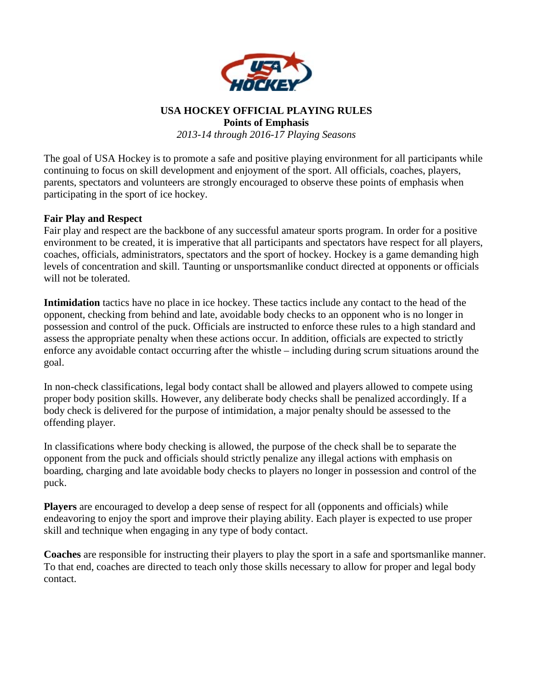

#### **USA HOCKEY OFFICIAL PLAYING RULES Points of Emphasis**

*2013-14 through 2016-17 Playing Seasons* 

The goal of USA Hockey is to promote a safe and positive playing environment for all participants while continuing to focus on skill development and enjoyment of the sport. All officials, coaches, players, parents, spectators and volunteers are strongly encouraged to observe these points of emphasis when participating in the sport of ice hockey.

#### **Fair Play and Respect**

Fair play and respect are the backbone of any successful amateur sports program. In order for a positive environment to be created, it is imperative that all participants and spectators have respect for all players, coaches, officials, administrators, spectators and the sport of hockey. Hockey is a game demanding high levels of concentration and skill. Taunting or unsportsmanlike conduct directed at opponents or officials will not be tolerated.

**Intimidation** tactics have no place in ice hockey. These tactics include any contact to the head of the opponent, checking from behind and late, avoidable body checks to an opponent who is no longer in possession and control of the puck. Officials are instructed to enforce these rules to a high standard and assess the appropriate penalty when these actions occur. In addition, officials are expected to strictly enforce any avoidable contact occurring after the whistle – including during scrum situations around the goal.

In non-check classifications, legal body contact shall be allowed and players allowed to compete using proper body position skills. However, any deliberate body checks shall be penalized accordingly. If a body check is delivered for the purpose of intimidation, a major penalty should be assessed to the offending player.

In classifications where body checking is allowed, the purpose of the check shall be to separate the opponent from the puck and officials should strictly penalize any illegal actions with emphasis on boarding, charging and late avoidable body checks to players no longer in possession and control of the puck.

**Players** are encouraged to develop a deep sense of respect for all (opponents and officials) while endeavoring to enjoy the sport and improve their playing ability. Each player is expected to use proper skill and technique when engaging in any type of body contact.

**Coaches** are responsible for instructing their players to play the sport in a safe and sportsmanlike manner. To that end, coaches are directed to teach only those skills necessary to allow for proper and legal body contact.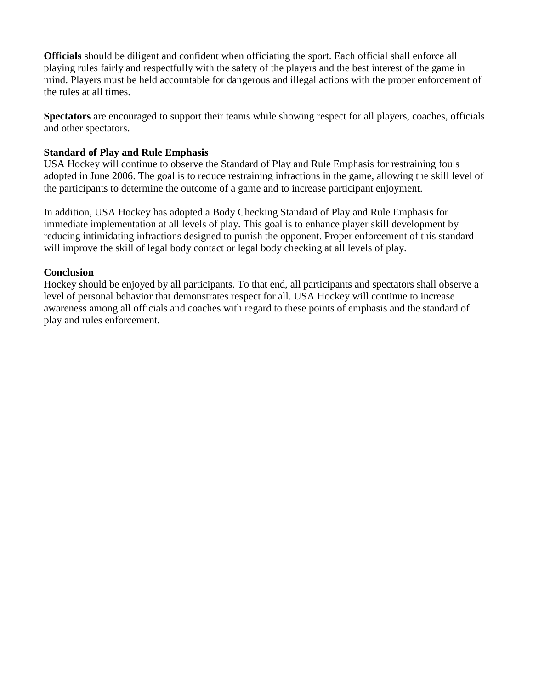**Officials** should be diligent and confident when officiating the sport. Each official shall enforce all playing rules fairly and respectfully with the safety of the players and the best interest of the game in mind. Players must be held accountable for dangerous and illegal actions with the proper enforcement of the rules at all times.

**Spectators** are encouraged to support their teams while showing respect for all players, coaches, officials and other spectators.

### **Standard of Play and Rule Emphasis**

USA Hockey will continue to observe the Standard of Play and Rule Emphasis for restraining fouls adopted in June 2006. The goal is to reduce restraining infractions in the game, allowing the skill level of the participants to determine the outcome of a game and to increase participant enjoyment.

In addition, USA Hockey has adopted a Body Checking Standard of Play and Rule Emphasis for immediate implementation at all levels of play. This goal is to enhance player skill development by reducing intimidating infractions designed to punish the opponent. Proper enforcement of this standard will improve the skill of legal body contact or legal body checking at all levels of play.

#### **Conclusion**

Hockey should be enjoyed by all participants. To that end, all participants and spectators shall observe a level of personal behavior that demonstrates respect for all. USA Hockey will continue to increase awareness among all officials and coaches with regard to these points of emphasis and the standard of play and rules enforcement.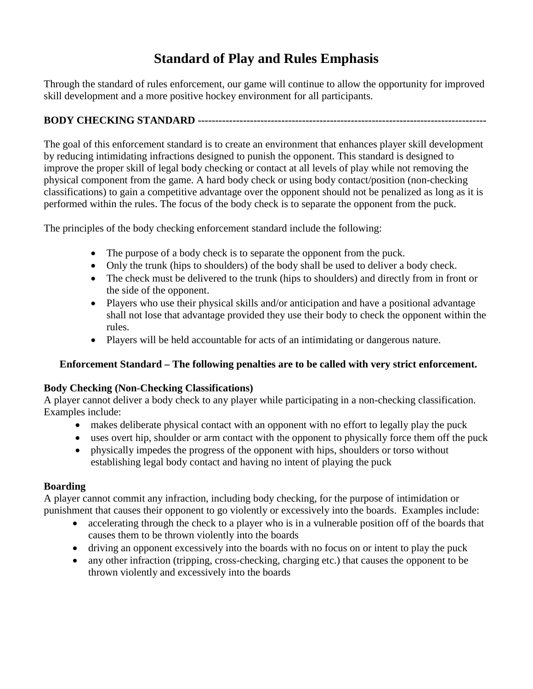# **Standard of Play and Rules Emphasis**

Through the standard of rules enforcement, our game will continue to allow the opportunity for improved skill development and a more positive hockey environment for all participants.

## **BODY CHECKING STANDARD -----------------------------------------------------------------------------------**

The goal of this enforcement standard is to create an environment that enhances player skill development by reducing intimidating infractions designed to punish the opponent. This standard is designed to improve the proper skill of legal body checking or contact at all levels of play while not removing the physical component from the game. A hard body check or using body contact/position (non-checking classifications) to gain a competitive advantage over the opponent should not be penalized as long as it is performed within the rules. The focus of the body check is to separate the opponent from the puck.

The principles of the body checking enforcement standard include the following:

- The purpose of a body check is to separate the opponent from the puck.
- Only the trunk (hips to shoulders) of the body shall be used to deliver a body check.
- The check must be delivered to the trunk (hips to shoulders) and directly from in front or the side of the opponent.
- Players who use their physical skills and/or anticipation and have a positional advantage shall not lose that advantage provided they use their body to check the opponent within the rules.
- Players will be held accountable for acts of an intimidating or dangerous nature.

## **Enforcement Standard – The following penalties are to be called with very strict enforcement.**

## **Body Checking (Non-Checking Classifications)**

A player cannot deliver a body check to any player while participating in a non-checking classification. Examples include:

- makes deliberate physical contact with an opponent with no effort to legally play the puck
- uses overt hip, shoulder or arm contact with the opponent to physically force them off the puck
- physically impedes the progress of the opponent with hips, shoulders or torso without establishing legal body contact and having no intent of playing the puck

## **Boarding**

A player cannot commit any infraction, including body checking, for the purpose of intimidation or punishment that causes their opponent to go violently or excessively into the boards. Examples include:

- accelerating through the check to a player who is in a vulnerable position off of the boards that causes them to be thrown violently into the boards
- driving an opponent excessively into the boards with no focus on or intent to play the puck
- any other infraction (tripping, cross-checking, charging etc.) that causes the opponent to be thrown violently and excessively into the boards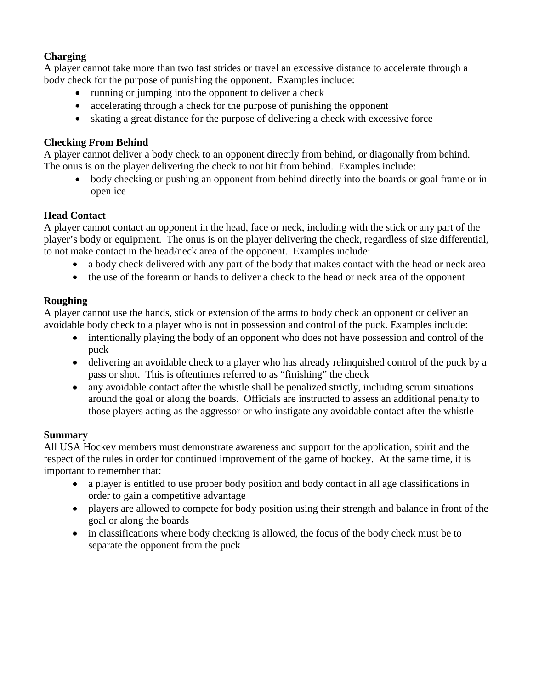## **Charging**

A player cannot take more than two fast strides or travel an excessive distance to accelerate through a body check for the purpose of punishing the opponent. Examples include:

- running or jumping into the opponent to deliver a check
- accelerating through a check for the purpose of punishing the opponent
- skating a great distance for the purpose of delivering a check with excessive force

#### **Checking From Behind**

A player cannot deliver a body check to an opponent directly from behind, or diagonally from behind. The onus is on the player delivering the check to not hit from behind. Examples include:

• body checking or pushing an opponent from behind directly into the boards or goal frame or in open ice

#### **Head Contact**

A player cannot contact an opponent in the head, face or neck, including with the stick or any part of the player's body or equipment. The onus is on the player delivering the check, regardless of size differential, to not make contact in the head/neck area of the opponent. Examples include:

- a body check delivered with any part of the body that makes contact with the head or neck area
- the use of the forearm or hands to deliver a check to the head or neck area of the opponent

### **Roughing**

A player cannot use the hands, stick or extension of the arms to body check an opponent or deliver an avoidable body check to a player who is not in possession and control of the puck. Examples include:

- intentionally playing the body of an opponent who does not have possession and control of the puck
- delivering an avoidable check to a player who has already relinquished control of the puck by a pass or shot. This is oftentimes referred to as "finishing" the check
- any avoidable contact after the whistle shall be penalized strictly, including scrum situations around the goal or along the boards. Officials are instructed to assess an additional penalty to those players acting as the aggressor or who instigate any avoidable contact after the whistle

#### **Summary**

All USA Hockey members must demonstrate awareness and support for the application, spirit and the respect of the rules in order for continued improvement of the game of hockey. At the same time, it is important to remember that:

- a player is entitled to use proper body position and body contact in all age classifications in order to gain a competitive advantage
- players are allowed to compete for body position using their strength and balance in front of the goal or along the boards
- in classifications where body checking is allowed, the focus of the body check must be to separate the opponent from the puck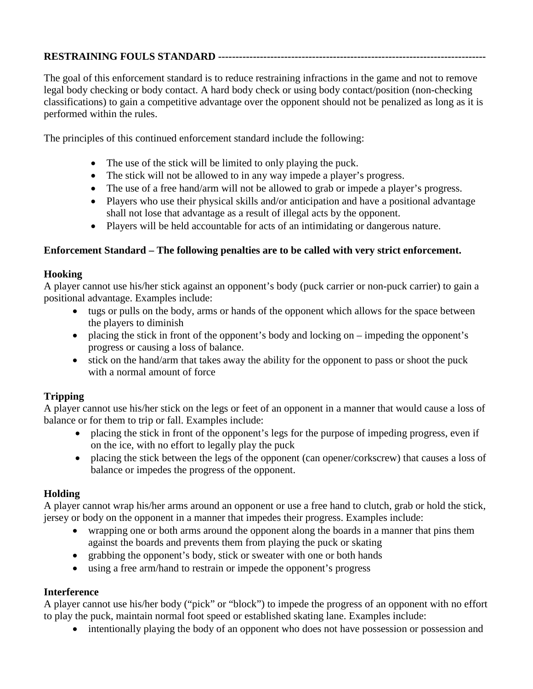## **RESTRAINING FOULS STANDARD -----------------------------------------------------------------------------**

The goal of this enforcement standard is to reduce restraining infractions in the game and not to remove legal body checking or body contact. A hard body check or using body contact/position (non-checking classifications) to gain a competitive advantage over the opponent should not be penalized as long as it is performed within the rules.

The principles of this continued enforcement standard include the following:

- The use of the stick will be limited to only playing the puck.
- The stick will not be allowed to in any way impede a player's progress.
- The use of a free hand/arm will not be allowed to grab or impede a player's progress.
- Players who use their physical skills and/or anticipation and have a positional advantage shall not lose that advantage as a result of illegal acts by the opponent.
- Players will be held accountable for acts of an intimidating or dangerous nature.

#### **Enforcement Standard – The following penalties are to be called with very strict enforcement.**

#### **Hooking**

A player cannot use his/her stick against an opponent's body (puck carrier or non-puck carrier) to gain a positional advantage. Examples include:

- tugs or pulls on the body, arms or hands of the opponent which allows for the space between the players to diminish
- placing the stick in front of the opponent's body and locking on impeding the opponent's progress or causing a loss of balance.
- stick on the hand/arm that takes away the ability for the opponent to pass or shoot the puck with a normal amount of force

## **Tripping**

A player cannot use his/her stick on the legs or feet of an opponent in a manner that would cause a loss of balance or for them to trip or fall. Examples include:

- placing the stick in front of the opponent's legs for the purpose of impeding progress, even if on the ice, with no effort to legally play the puck
- placing the stick between the legs of the opponent (can opener/corkscrew) that causes a loss of balance or impedes the progress of the opponent.

#### **Holding**

A player cannot wrap his/her arms around an opponent or use a free hand to clutch, grab or hold the stick, jersey or body on the opponent in a manner that impedes their progress. Examples include:

- wrapping one or both arms around the opponent along the boards in a manner that pins them against the boards and prevents them from playing the puck or skating
- grabbing the opponent's body, stick or sweater with one or both hands
- using a free arm/hand to restrain or impede the opponent's progress

#### **Interference**

A player cannot use his/her body ("pick" or "block") to impede the progress of an opponent with no effort to play the puck, maintain normal foot speed or established skating lane. Examples include:

• intentionally playing the body of an opponent who does not have possession or possession and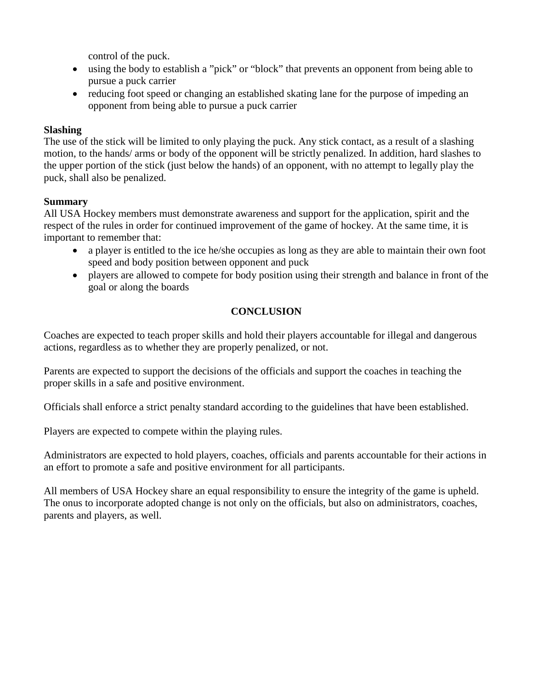control of the puck.

- using the body to establish a "pick" or "block" that prevents an opponent from being able to pursue a puck carrier
- reducing foot speed or changing an established skating lane for the purpose of impeding an opponent from being able to pursue a puck carrier

### **Slashing**

The use of the stick will be limited to only playing the puck. Any stick contact, as a result of a slashing motion, to the hands/ arms or body of the opponent will be strictly penalized. In addition, hard slashes to the upper portion of the stick (just below the hands) of an opponent, with no attempt to legally play the puck, shall also be penalized.

### **Summary**

All USA Hockey members must demonstrate awareness and support for the application, spirit and the respect of the rules in order for continued improvement of the game of hockey. At the same time, it is important to remember that:

- a player is entitled to the ice he/she occupies as long as they are able to maintain their own foot speed and body position between opponent and puck
- players are allowed to compete for body position using their strength and balance in front of the goal or along the boards

## **CONCLUSION**

Coaches are expected to teach proper skills and hold their players accountable for illegal and dangerous actions, regardless as to whether they are properly penalized, or not.

Parents are expected to support the decisions of the officials and support the coaches in teaching the proper skills in a safe and positive environment.

Officials shall enforce a strict penalty standard according to the guidelines that have been established.

Players are expected to compete within the playing rules.

Administrators are expected to hold players, coaches, officials and parents accountable for their actions in an effort to promote a safe and positive environment for all participants.

All members of USA Hockey share an equal responsibility to ensure the integrity of the game is upheld. The onus to incorporate adopted change is not only on the officials, but also on administrators, coaches, parents and players, as well.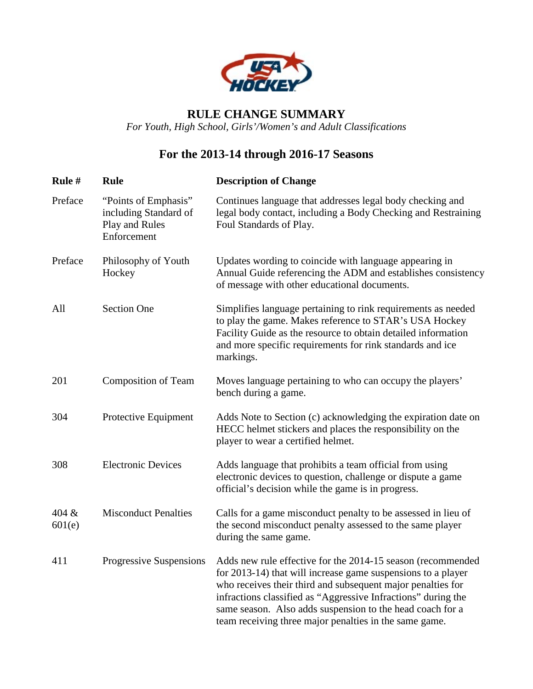

## **RULE CHANGE SUMMARY**

*For Youth, High School, Girls'/Women's and Adult Classifications* 

# **For the 2013-14 through 2016-17 Seasons**

| Rule #          | Rule                                                                           | <b>Description of Change</b>                                                                                                                                                                                                                                                                                                                                                       |
|-----------------|--------------------------------------------------------------------------------|------------------------------------------------------------------------------------------------------------------------------------------------------------------------------------------------------------------------------------------------------------------------------------------------------------------------------------------------------------------------------------|
| Preface         | "Points of Emphasis"<br>including Standard of<br>Play and Rules<br>Enforcement | Continues language that addresses legal body checking and<br>legal body contact, including a Body Checking and Restraining<br>Foul Standards of Play.                                                                                                                                                                                                                              |
| Preface         | Philosophy of Youth<br>Hockey                                                  | Updates wording to coincide with language appearing in<br>Annual Guide referencing the ADM and establishes consistency<br>of message with other educational documents.                                                                                                                                                                                                             |
| All             | <b>Section One</b>                                                             | Simplifies language pertaining to rink requirements as needed<br>to play the game. Makes reference to STAR's USA Hockey<br>Facility Guide as the resource to obtain detailed information<br>and more specific requirements for rink standards and ice<br>markings.                                                                                                                 |
| 201             | <b>Composition of Team</b>                                                     | Moves language pertaining to who can occupy the players'<br>bench during a game.                                                                                                                                                                                                                                                                                                   |
| 304             | Protective Equipment                                                           | Adds Note to Section (c) acknowledging the expiration date on<br>HECC helmet stickers and places the responsibility on the<br>player to wear a certified helmet.                                                                                                                                                                                                                   |
| 308             | <b>Electronic Devices</b>                                                      | Adds language that prohibits a team official from using<br>electronic devices to question, challenge or dispute a game<br>official's decision while the game is in progress.                                                                                                                                                                                                       |
| 404 &<br>601(e) | <b>Misconduct Penalties</b>                                                    | Calls for a game misconduct penalty to be assessed in lieu of<br>the second misconduct penalty assessed to the same player<br>during the same game.                                                                                                                                                                                                                                |
| 411             | Progressive Suspensions                                                        | Adds new rule effective for the 2014-15 season (recommended<br>for 2013-14) that will increase game suspensions to a player<br>who receives their third and subsequent major penalties for<br>infractions classified as "Aggressive Infractions" during the<br>same season. Also adds suspension to the head coach for a<br>team receiving three major penalties in the same game. |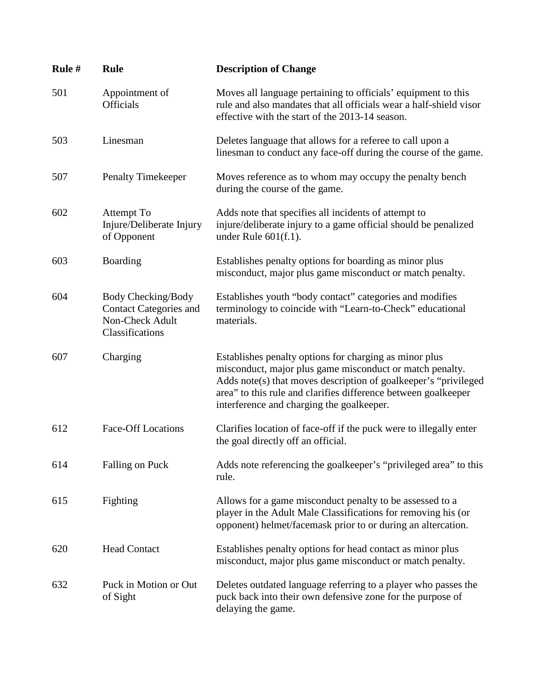| Rule # | <b>Rule</b>                                                                               | <b>Description of Change</b>                                                                                                                                                                                                                                                                         |
|--------|-------------------------------------------------------------------------------------------|------------------------------------------------------------------------------------------------------------------------------------------------------------------------------------------------------------------------------------------------------------------------------------------------------|
| 501    | Appointment of<br><b>Officials</b>                                                        | Moves all language pertaining to officials' equipment to this<br>rule and also mandates that all officials wear a half-shield visor<br>effective with the start of the 2013-14 season.                                                                                                               |
| 503    | Linesman                                                                                  | Deletes language that allows for a referee to call upon a<br>linesman to conduct any face-off during the course of the game.                                                                                                                                                                         |
| 507    | <b>Penalty Timekeeper</b>                                                                 | Moves reference as to whom may occupy the penalty bench<br>during the course of the game.                                                                                                                                                                                                            |
| 602    | Attempt To<br>Injure/Deliberate Injury<br>of Opponent                                     | Adds note that specifies all incidents of attempt to<br>injure/deliberate injury to a game official should be penalized<br>under Rule $601(f.1)$ .                                                                                                                                                   |
| 603    | Boarding                                                                                  | Establishes penalty options for boarding as minor plus<br>misconduct, major plus game misconduct or match penalty.                                                                                                                                                                                   |
| 604    | Body Checking/Body<br><b>Contact Categories and</b><br>Non-Check Adult<br>Classifications | Establishes youth "body contact" categories and modifies<br>terminology to coincide with "Learn-to-Check" educational<br>materials.                                                                                                                                                                  |
| 607    | Charging                                                                                  | Establishes penalty options for charging as minor plus<br>misconduct, major plus game misconduct or match penalty.<br>Adds note(s) that moves description of goalkeeper's "privileged<br>area" to this rule and clarifies difference between goalkeeper<br>interference and charging the goalkeeper. |
| 612    | <b>Face-Off Locations</b>                                                                 | Clarifies location of face-off if the puck were to illegally enter<br>the goal directly off an official.                                                                                                                                                                                             |
| 614    | Falling on Puck                                                                           | Adds note referencing the goalkeeper's "privileged area" to this<br>rule.                                                                                                                                                                                                                            |
| 615    | Fighting                                                                                  | Allows for a game misconduct penalty to be assessed to a<br>player in the Adult Male Classifications for removing his (or<br>opponent) helmet/facemask prior to or during an altercation.                                                                                                            |
| 620    | <b>Head Contact</b>                                                                       | Establishes penalty options for head contact as minor plus<br>misconduct, major plus game misconduct or match penalty.                                                                                                                                                                               |
| 632    | Puck in Motion or Out<br>of Sight                                                         | Deletes outdated language referring to a player who passes the<br>puck back into their own defensive zone for the purpose of<br>delaying the game.                                                                                                                                                   |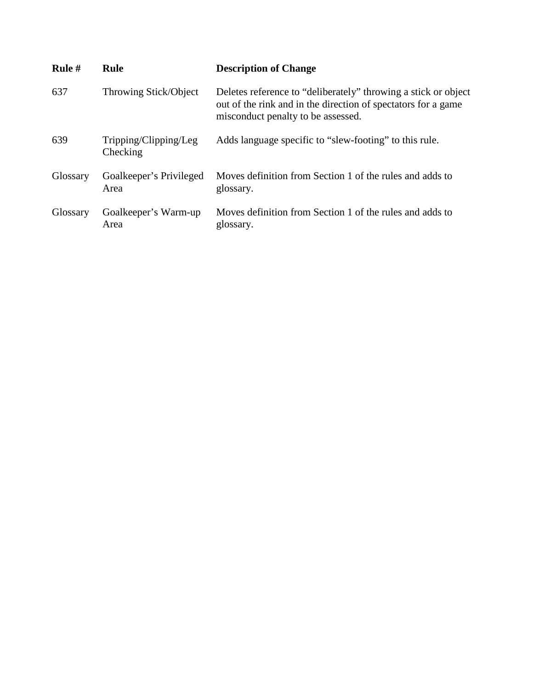| Rule #   | <b>Rule</b>                       | <b>Description of Change</b>                                                                                                                                          |
|----------|-----------------------------------|-----------------------------------------------------------------------------------------------------------------------------------------------------------------------|
| 637      | Throwing Stick/Object             | Deletes reference to "deliberately" throwing a stick or object<br>out of the rink and in the direction of spectators for a game<br>misconduct penalty to be assessed. |
| 639      | Tripping/Clipping/Leg<br>Checking | Adds language specific to "slew-footing" to this rule.                                                                                                                |
| Glossary | Goalkeeper's Privileged<br>Area   | Moves definition from Section 1 of the rules and adds to<br>glossary.                                                                                                 |
| Glossary | Goalkeeper's Warm-up<br>Area      | Moves definition from Section 1 of the rules and adds to<br>glossary.                                                                                                 |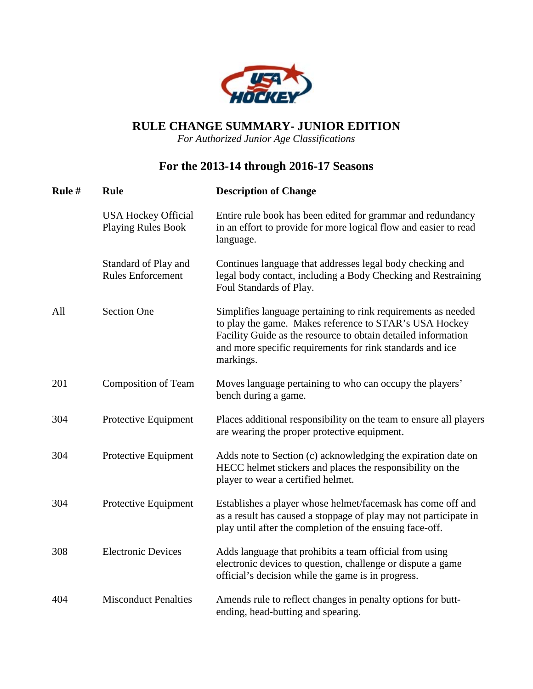

## **RULE CHANGE SUMMARY- JUNIOR EDITION**

*For Authorized Junior Age Classifications* 

## **For the 2013-14 through 2016-17 Seasons**

| Rule # | <b>Rule</b>                                             | <b>Description of Change</b>                                                                                                                                                                                                                                       |
|--------|---------------------------------------------------------|--------------------------------------------------------------------------------------------------------------------------------------------------------------------------------------------------------------------------------------------------------------------|
|        | <b>USA Hockey Official</b><br><b>Playing Rules Book</b> | Entire rule book has been edited for grammar and redundancy<br>in an effort to provide for more logical flow and easier to read<br>language.                                                                                                                       |
|        | Standard of Play and<br><b>Rules Enforcement</b>        | Continues language that addresses legal body checking and<br>legal body contact, including a Body Checking and Restraining<br>Foul Standards of Play.                                                                                                              |
| All    | <b>Section One</b>                                      | Simplifies language pertaining to rink requirements as needed<br>to play the game. Makes reference to STAR's USA Hockey<br>Facility Guide as the resource to obtain detailed information<br>and more specific requirements for rink standards and ice<br>markings. |
| 201    | <b>Composition of Team</b>                              | Moves language pertaining to who can occupy the players'<br>bench during a game.                                                                                                                                                                                   |
| 304    | Protective Equipment                                    | Places additional responsibility on the team to ensure all players<br>are wearing the proper protective equipment.                                                                                                                                                 |
| 304    | Protective Equipment                                    | Adds note to Section (c) acknowledging the expiration date on<br>HECC helmet stickers and places the responsibility on the<br>player to wear a certified helmet.                                                                                                   |
| 304    | Protective Equipment                                    | Establishes a player whose helmet/facemask has come off and<br>as a result has caused a stoppage of play may not participate in<br>play until after the completion of the ensuing face-off.                                                                        |
| 308    | <b>Electronic Devices</b>                               | Adds language that prohibits a team official from using<br>electronic devices to question, challenge or dispute a game<br>official's decision while the game is in progress.                                                                                       |
| 404    | <b>Misconduct Penalties</b>                             | Amends rule to reflect changes in penalty options for butt-<br>ending, head-butting and spearing.                                                                                                                                                                  |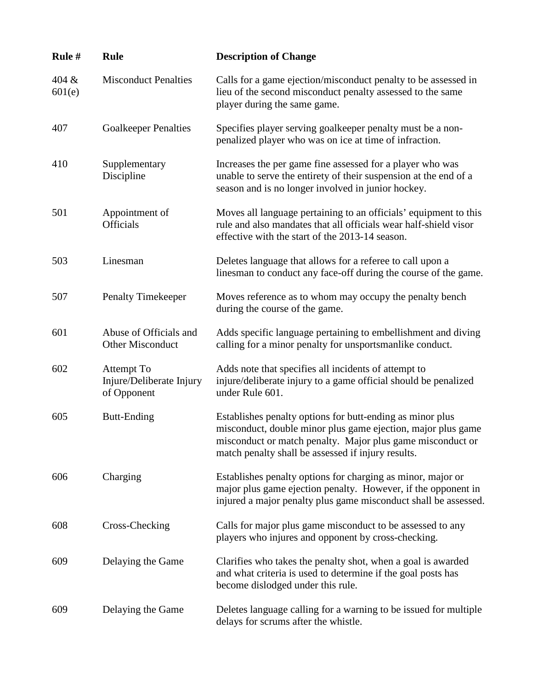| Rule #          | <b>Rule</b>                                           | <b>Description of Change</b>                                                                                                                                                                                                                  |
|-----------------|-------------------------------------------------------|-----------------------------------------------------------------------------------------------------------------------------------------------------------------------------------------------------------------------------------------------|
| 404 &<br>601(e) | <b>Misconduct Penalties</b>                           | Calls for a game ejection/misconduct penalty to be assessed in<br>lieu of the second misconduct penalty assessed to the same<br>player during the same game.                                                                                  |
| 407             | <b>Goalkeeper Penalties</b>                           | Specifies player serving goalkeeper penalty must be a non-<br>penalized player who was on ice at time of infraction.                                                                                                                          |
| 410             | Supplementary<br>Discipline                           | Increases the per game fine assessed for a player who was<br>unable to serve the entirety of their suspension at the end of a<br>season and is no longer involved in junior hockey.                                                           |
| 501             | Appointment of<br><b>Officials</b>                    | Moves all language pertaining to an officials' equipment to this<br>rule and also mandates that all officials wear half-shield visor<br>effective with the start of the 2013-14 season.                                                       |
| 503             | Linesman                                              | Deletes language that allows for a referee to call upon a<br>linesman to conduct any face-off during the course of the game.                                                                                                                  |
| 507             | <b>Penalty Timekeeper</b>                             | Moves reference as to whom may occupy the penalty bench<br>during the course of the game.                                                                                                                                                     |
| 601             | Abuse of Officials and<br><b>Other Misconduct</b>     | Adds specific language pertaining to embellishment and diving<br>calling for a minor penalty for unsportsmanlike conduct.                                                                                                                     |
| 602             | Attempt To<br>Injure/Deliberate Injury<br>of Opponent | Adds note that specifies all incidents of attempt to<br>injure/deliberate injury to a game official should be penalized<br>under Rule 601.                                                                                                    |
| 605             | <b>Butt-Ending</b>                                    | Establishes penalty options for butt-ending as minor plus<br>misconduct, double minor plus game ejection, major plus game<br>misconduct or match penalty. Major plus game misconduct or<br>match penalty shall be assessed if injury results. |
| 606             | Charging                                              | Establishes penalty options for charging as minor, major or<br>major plus game ejection penalty. However, if the opponent in<br>injured a major penalty plus game misconduct shall be assessed.                                               |
| 608             | Cross-Checking                                        | Calls for major plus game misconduct to be assessed to any<br>players who injures and opponent by cross-checking.                                                                                                                             |
| 609             | Delaying the Game                                     | Clarifies who takes the penalty shot, when a goal is awarded<br>and what criteria is used to determine if the goal posts has<br>become dislodged under this rule.                                                                             |
| 609             | Delaying the Game                                     | Deletes language calling for a warning to be issued for multiple<br>delays for scrums after the whistle.                                                                                                                                      |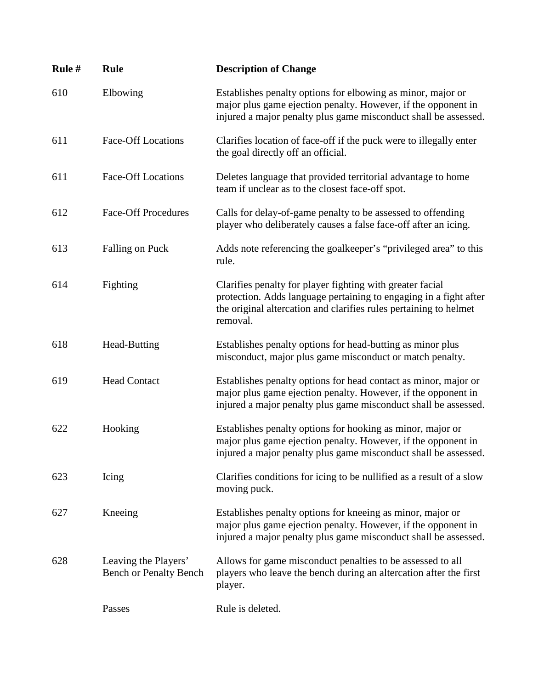| Rule # | <b>Rule</b>                                           | <b>Description of Change</b>                                                                                                                                                                                    |
|--------|-------------------------------------------------------|-----------------------------------------------------------------------------------------------------------------------------------------------------------------------------------------------------------------|
| 610    | Elbowing                                              | Establishes penalty options for elbowing as minor, major or<br>major plus game ejection penalty. However, if the opponent in<br>injured a major penalty plus game misconduct shall be assessed.                 |
| 611    | <b>Face-Off Locations</b>                             | Clarifies location of face-off if the puck were to illegally enter<br>the goal directly off an official.                                                                                                        |
| 611    | <b>Face-Off Locations</b>                             | Deletes language that provided territorial advantage to home<br>team if unclear as to the closest face-off spot.                                                                                                |
| 612    | <b>Face-Off Procedures</b>                            | Calls for delay-of-game penalty to be assessed to offending<br>player who deliberately causes a false face-off after an icing.                                                                                  |
| 613    | Falling on Puck                                       | Adds note referencing the goalkeeper's "privileged area" to this<br>rule.                                                                                                                                       |
| 614    | Fighting                                              | Clarifies penalty for player fighting with greater facial<br>protection. Adds language pertaining to engaging in a fight after<br>the original altercation and clarifies rules pertaining to helmet<br>removal. |
| 618    | Head-Butting                                          | Establishes penalty options for head-butting as minor plus<br>misconduct, major plus game misconduct or match penalty.                                                                                          |
| 619    | <b>Head Contact</b>                                   | Establishes penalty options for head contact as minor, major or<br>major plus game ejection penalty. However, if the opponent in<br>injured a major penalty plus game misconduct shall be assessed.             |
| 622    | Hooking                                               | Establishes penalty options for hooking as minor, major or<br>major plus game ejection penalty. However, if the opponent in<br>injured a major penalty plus game misconduct shall be assessed.                  |
| 623    | Icing                                                 | Clarifies conditions for icing to be nullified as a result of a slow<br>moving puck.                                                                                                                            |
| 627    | Kneeing                                               | Establishes penalty options for kneeing as minor, major or<br>major plus game ejection penalty. However, if the opponent in<br>injured a major penalty plus game misconduct shall be assessed.                  |
| 628    | Leaving the Players'<br><b>Bench or Penalty Bench</b> | Allows for game misconduct penalties to be assessed to all<br>players who leave the bench during an altercation after the first<br>player.                                                                      |
|        | Passes                                                | Rule is deleted.                                                                                                                                                                                                |